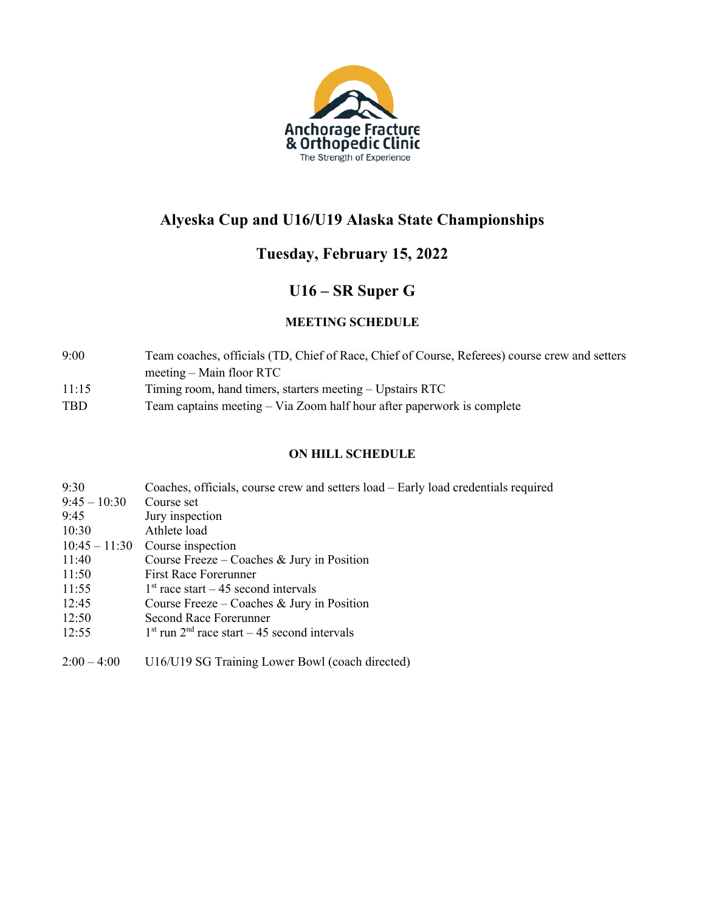

### **Tuesday, February 15, 2022**

### **U16 – SR Super G**

#### **MEETING SCHEDULE**

| 9:00       | Team coaches, officials (TD, Chief of Race, Chief of Course, Referees) course crew and setters |
|------------|------------------------------------------------------------------------------------------------|
|            | $meeting - Main floor RTC$                                                                     |
| 11:15      | Timing room, hand timers, starters meeting – Upstairs RTC                                      |
| <b>TBD</b> | Team captains meeting $-$ Via Zoom half hour after paperwork is complete                       |

| 9:30            | Coaches, officials, course crew and setters load – Early load credentials required |
|-----------------|------------------------------------------------------------------------------------|
| $9:45 - 10:30$  | Course set                                                                         |
| 9:45            | Jury inspection                                                                    |
| 10:30           | Athlete load                                                                       |
| $10:45 - 11:30$ | Course inspection                                                                  |
| 11:40           | Course Freeze – Coaches & Jury in Position                                         |
| 11:50           | <b>First Race Forerunner</b>                                                       |
| 11:55           | $1st$ race start – 45 second intervals                                             |
| 12:45           | Course Freeze – Coaches & Jury in Position                                         |
| 12:50           | Second Race Forerunner                                                             |
| 12:55           | $1st$ run $2nd$ race start – 45 second intervals                                   |
|                 |                                                                                    |
| $2:00 - 4:00$   | U16/U19 SG Training Lower Bowl (coach directed)                                    |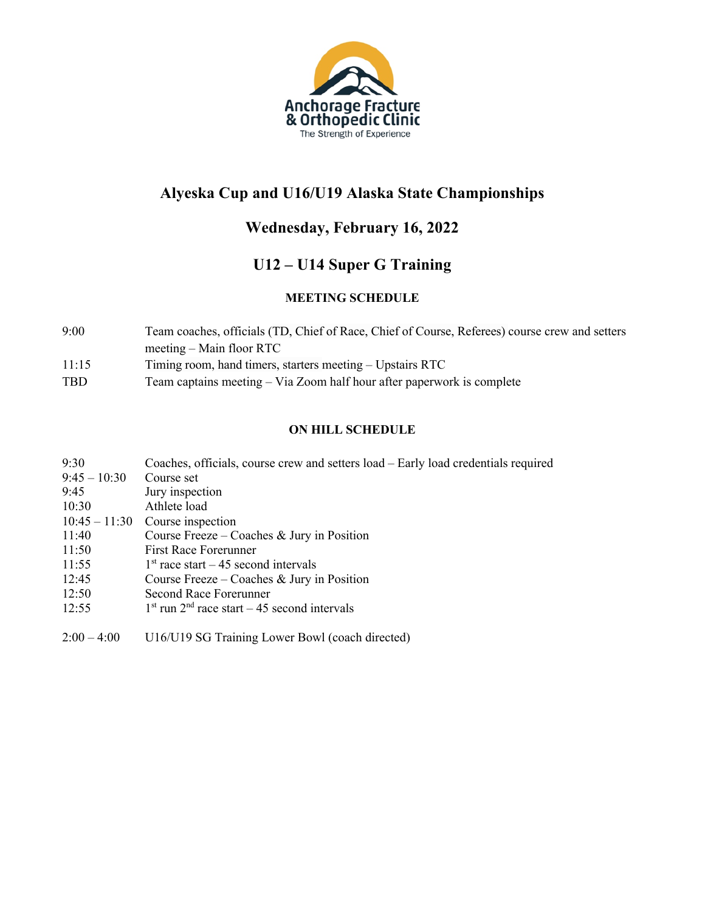

### **Wednesday, February 16, 2022**

## **U12 – U14 Super G Training**

#### **MEETING SCHEDULE**

9:00 Team coaches, officials (TD, Chief of Race, Chief of Course, Referees) course crew and setters meeting – Main floor RTC 11:15 Timing room, hand timers, starters meeting – Upstairs RTC TBD Team captains meeting – Via Zoom half hour after paperwork is complete

| 9:30            | Coaches, officials, course crew and setters load – Early load credentials required |
|-----------------|------------------------------------------------------------------------------------|
| $9:45 - 10:30$  | Course set                                                                         |
| 9:45            | Jury inspection                                                                    |
| 10:30           | Athlete load                                                                       |
| $10:45 - 11:30$ | Course inspection                                                                  |
| 11:40           | Course Freeze – Coaches & Jury in Position                                         |
| 11:50           | First Race Forerunner                                                              |
| 11:55           | $1st$ race start – 45 second intervals                                             |
| 12:45           | Course Freeze – Coaches & Jury in Position                                         |
| 12:50           | Second Race Forerunner                                                             |
| 12:55           | $1st$ run $2nd$ race start – 45 second intervals                                   |
| $2:00 - 4:00$   | U16/U19 SG Training Lower Bowl (coach directed)                                    |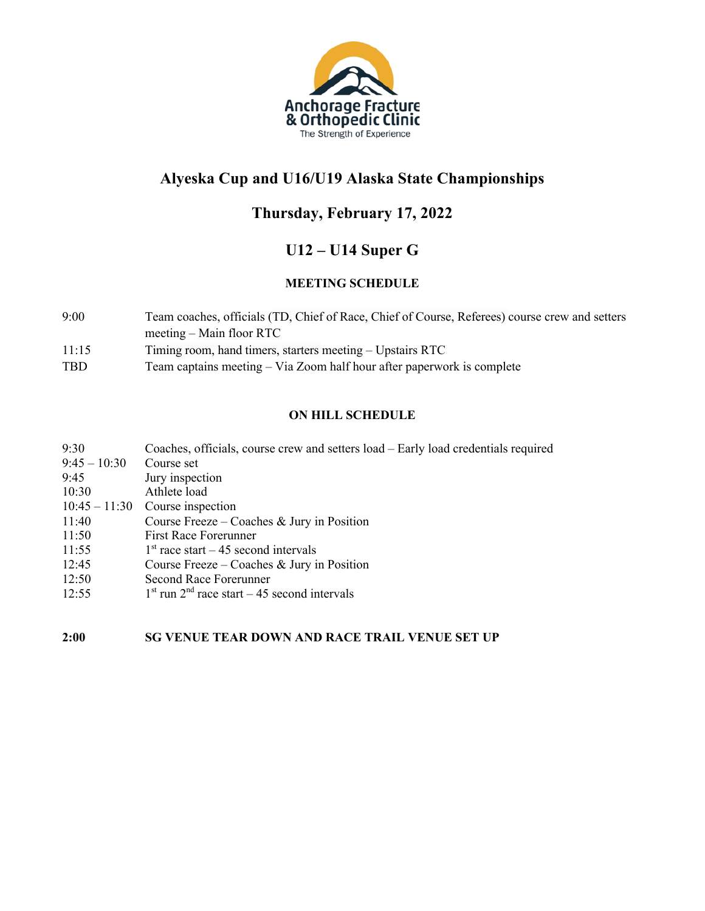

## **Thursday, February 17, 2022**

## **U12 – U14 Super G**

#### **MEETING SCHEDULE**

9:00 Team coaches, officials (TD, Chief of Race, Chief of Course, Referees) course crew and setters meeting – Main floor RTC 11:15 Timing room, hand timers, starters meeting – Upstairs RTC TBD Team captains meeting – Via Zoom half hour after paperwork is complete

#### **ON HILL SCHEDULE**

| 9:30            | Coaches, officials, course crew and setters load - Early load credentials required |
|-----------------|------------------------------------------------------------------------------------|
| $9:45 - 10:30$  | Course set                                                                         |
| 9:45            | Jury inspection                                                                    |
| 10:30           | Athlete load                                                                       |
| $10:45 - 11:30$ | Course inspection                                                                  |
| 11:40           | Course Freeze – Coaches & Jury in Position                                         |
| 11:50           | <b>First Race Forerunner</b>                                                       |
| 11:55           | $1st$ race start – 45 second intervals                                             |
| 12:45           | Course Freeze – Coaches & Jury in Position                                         |
| 12:50           | Second Race Forerunner                                                             |
| 12:55           | $1st$ run $2nd$ race start – 45 second intervals                                   |

#### **2:00 SG VENUE TEAR DOWN AND RACE TRAIL VENUE SET UP**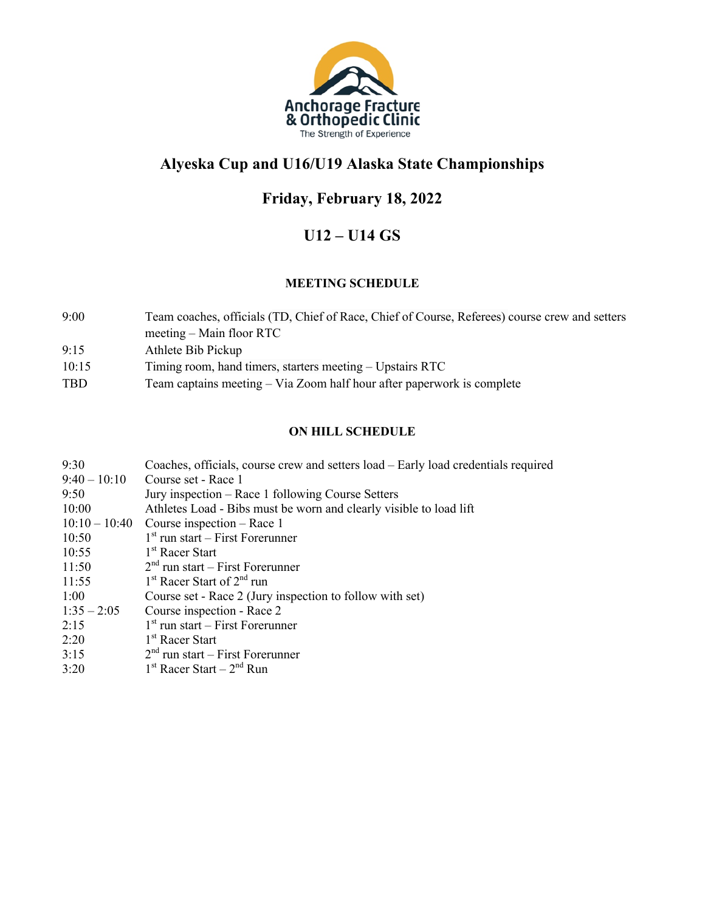

## **Friday, February 18, 2022**

# **U12 – U14 GS**

#### **MEETING SCHEDULE**

- 9:00 Team coaches, officials (TD, Chief of Race, Chief of Course, Referees) course crew and setters meeting – Main floor RTC 9:15 Athlete Bib Pickup 10:15 Timing room, hand timers, starters meeting – Upstairs RTC
- TBD Team captains meeting Via Zoom half hour after paperwork is complete

| Coaches, officials, course crew and setters load – Early load credentials required |
|------------------------------------------------------------------------------------|
| Course set - Race 1                                                                |
| Jury inspection – Race 1 following Course Setters                                  |
| Athletes Load - Bibs must be worn and clearly visible to load lift                 |
| Course inspection $-$ Race 1                                                       |
| $1st$ run start – First Forerunner                                                 |
| 1 <sup>st</sup> Racer Start                                                        |
| $2nd$ run start – First Forerunner                                                 |
| 1 <sup>st</sup> Racer Start of 2 <sup>nd</sup> run                                 |
| Course set - Race 2 (Jury inspection to follow with set)                           |
| Course inspection - Race 2                                                         |
| $1st$ run start – First Forerunner                                                 |
| 1 <sup>st</sup> Racer Start                                                        |
| $2nd$ run start – First Forerunner                                                 |
| $1st$ Racer Start – $2nd$ Run                                                      |
|                                                                                    |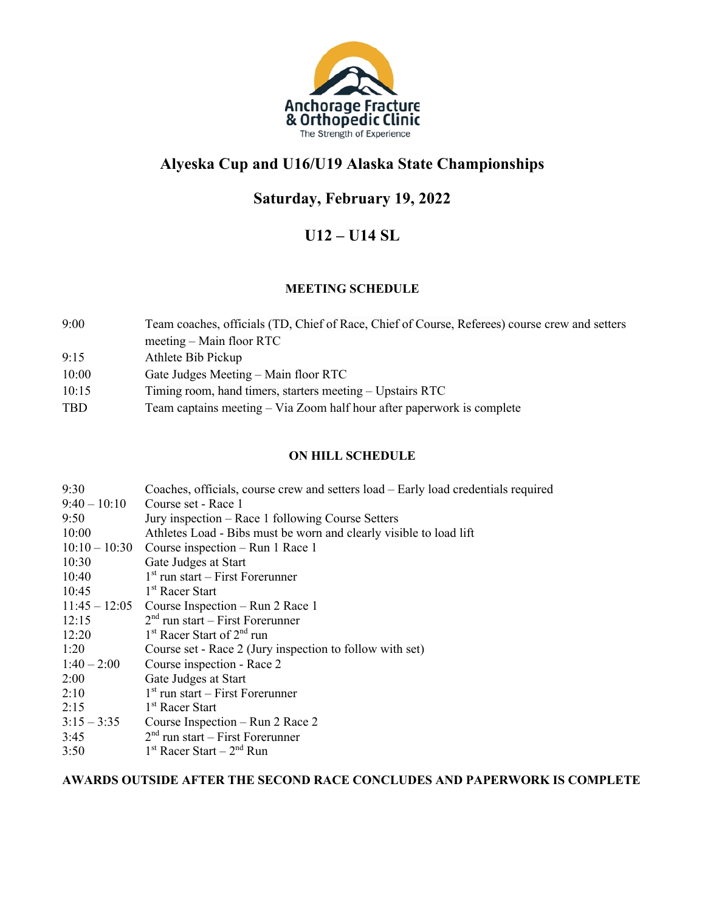

# **Saturday, February 19, 2022**

## **U12 – U14 SL**

#### **MEETING SCHEDULE**

9:00 Team coaches, officials (TD, Chief of Race, Chief of Course, Referees) course crew and setters meeting – Main floor RTC 9:15 Athlete Bib Pickup 10:00 Gate Judges Meeting – Main floor RTC 10:15 Timing room, hand timers, starters meeting – Upstairs RTC TBD Team captains meeting – Via Zoom half hour after paperwork is complete

#### **ON HILL SCHEDULE**

| Coaches, officials, course crew and setters load – Early load credentials required |
|------------------------------------------------------------------------------------|
| Course set - Race 1                                                                |
| Jury inspection – Race 1 following Course Setters                                  |
| Athletes Load - Bibs must be worn and clearly visible to load lift                 |
| Course inspection - Run 1 Race 1                                                   |
| Gate Judges at Start                                                               |
| $1st$ run start – First Forerunner                                                 |
| 1 <sup>st</sup> Racer Start                                                        |
| $11:45 - 12:05$<br>Course Inspection – Run 2 Race 1                                |
| $2nd$ run start – First Forerunner                                                 |
| $1st$ Racer Start of $2nd$ run                                                     |
| Course set - Race 2 (Jury inspection to follow with set)                           |
| Course inspection - Race 2                                                         |
| Gate Judges at Start                                                               |
| $1st$ run start – First Forerunner                                                 |
| 1 <sup>st</sup> Racer Start                                                        |
| Course Inspection – Run 2 Race 2                                                   |
| $2nd$ run start – First Forerunner                                                 |
| $1st$ Racer Start – $2nd$ Run                                                      |
|                                                                                    |

**AWARDS OUTSIDE AFTER THE SECOND RACE CONCLUDES AND PAPERWORK IS COMPLETE**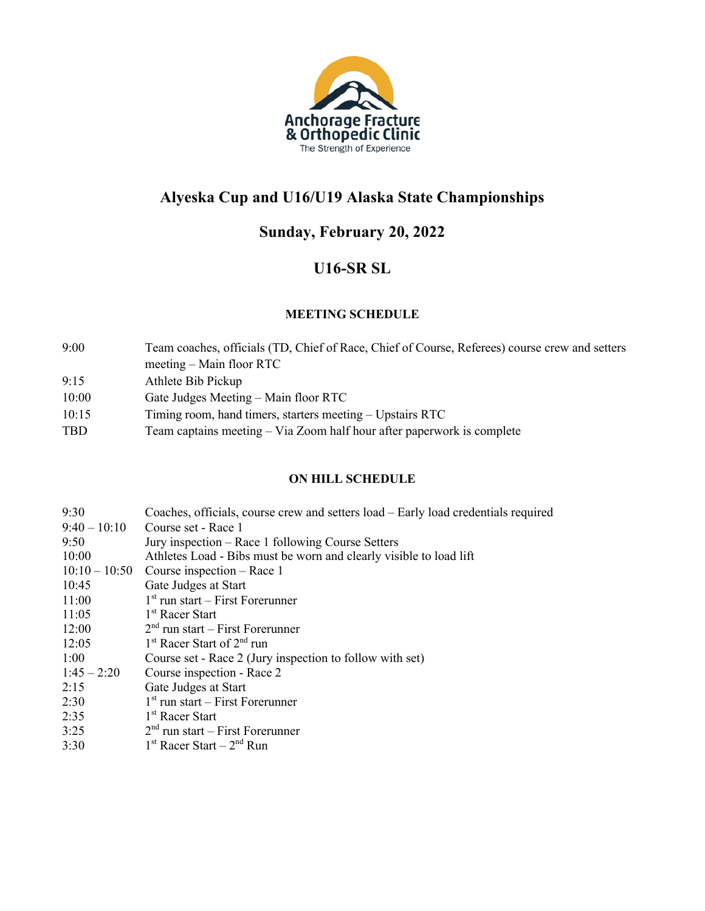

## **Sunday, February 20, 2022**

## **U16-SR SL**

#### **MEETING SCHEDULE**

- 9:00 Team coaches, officials (TD, Chief of Race, Chief of Course, Referees) course crew and setters meeting – Main floor RTC
- 9:15 Athlete Bib Pickup
- 10:00 Gate Judges Meeting Main floor RTC
- 10:15 Timing room, hand timers, starters meeting Upstairs RTC
- TBD Team captains meeting Via Zoom half hour after paperwork is complete

| 9:30            | Coaches, officials, course crew and setters load – Early load credentials required |
|-----------------|------------------------------------------------------------------------------------|
| $9:40 - 10:10$  | Course set - Race 1                                                                |
| 9:50            | Jury inspection – Race 1 following Course Setters                                  |
| 10:00           | Athletes Load - Bibs must be worn and clearly visible to load lift                 |
| $10:10 - 10:50$ | Course inspection – Race 1                                                         |
| 10:45           | Gate Judges at Start                                                               |
| 11:00           | $1st$ run start – First Forerunner                                                 |
| 11:05           | 1 <sup>st</sup> Racer Start                                                        |
| 12:00           | $2nd$ run start – First Forerunner                                                 |
| 12:05           | $1st$ Racer Start of $2nd$ run                                                     |
| 1:00            | Course set - Race 2 (Jury inspection to follow with set)                           |
| $1:45 - 2:20$   | Course inspection - Race 2                                                         |
| 2:15            | Gate Judges at Start                                                               |
| 2:30            | $1st$ run start – First Forerunner                                                 |
| 2:35            | 1 <sup>st</sup> Racer Start                                                        |
| 3:25            | $2nd$ run start – First Forerunner                                                 |
| 3:30            | $1st$ Racer Start – $2nd$ Run                                                      |
|                 |                                                                                    |